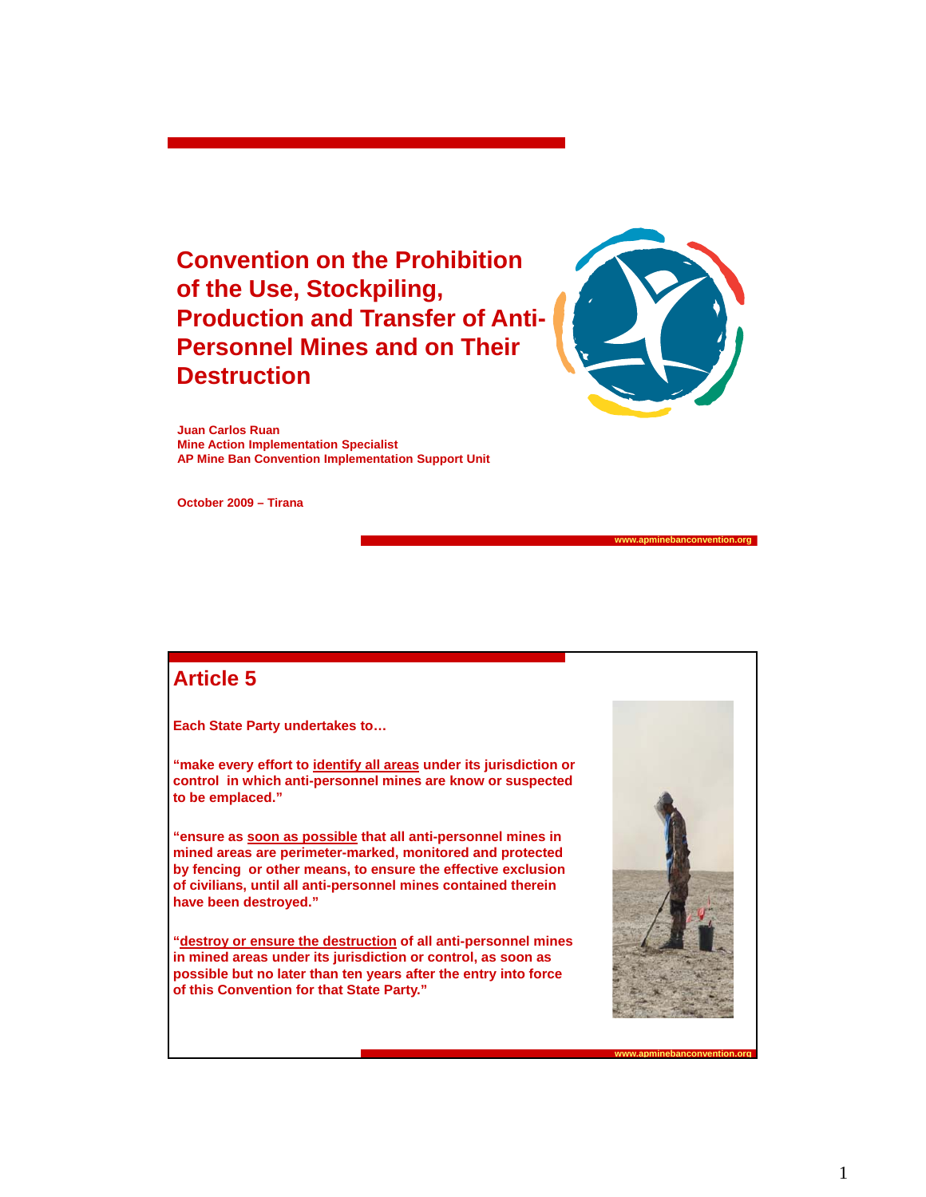**Convention on the Prohibition of the Use, Stockpiling, Production and Transfer of Anti-Personnel Mines and on Their Destruction**



**Juan Carlos Ruan Mine Action Implementation Specialist AP Mine Ban Convention Implementation Support Unit**

**October 2009 – Tirana**

### **Article 5**

**Each State Party undertakes to…**

**"make every effort to identify all areas under its jurisdiction or**  control in which anti-personnel mines are know or suspected **to be emplaced."**

**"ensure as soon as possible that all anti-personnel mines in mined areas are perimeter-marked, monitored and protected by fencing or other means, to ensure the effective exclusion of civilians, until all anti-personnel mines contained therein have been destroyed."**

**"destroy or ensure the destruction of all anti-personnel mines in mined areas under its jurisdiction or control, as soon as possible but no later than ten years after the entry into force of this Convention for that State Party."**



**www.apminebanconvention.org**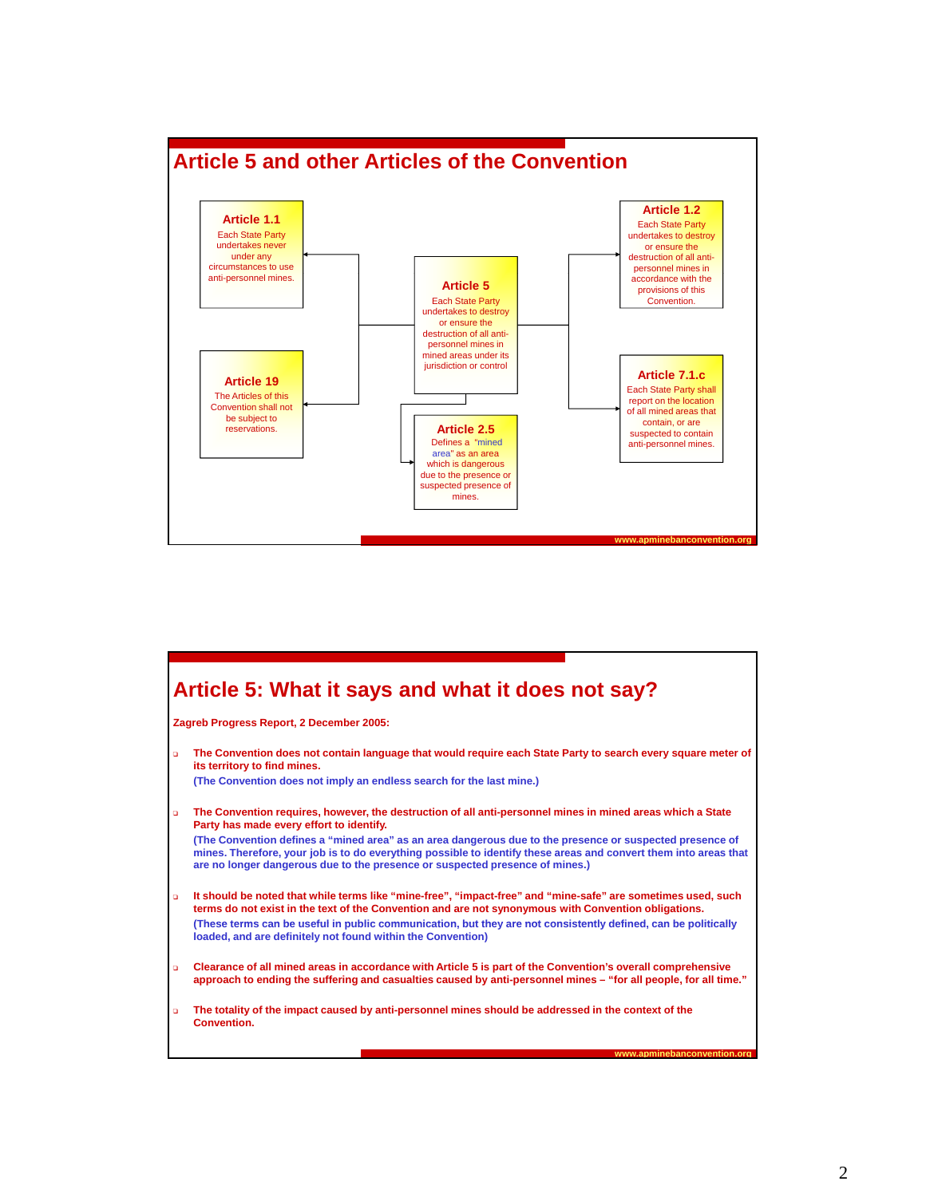

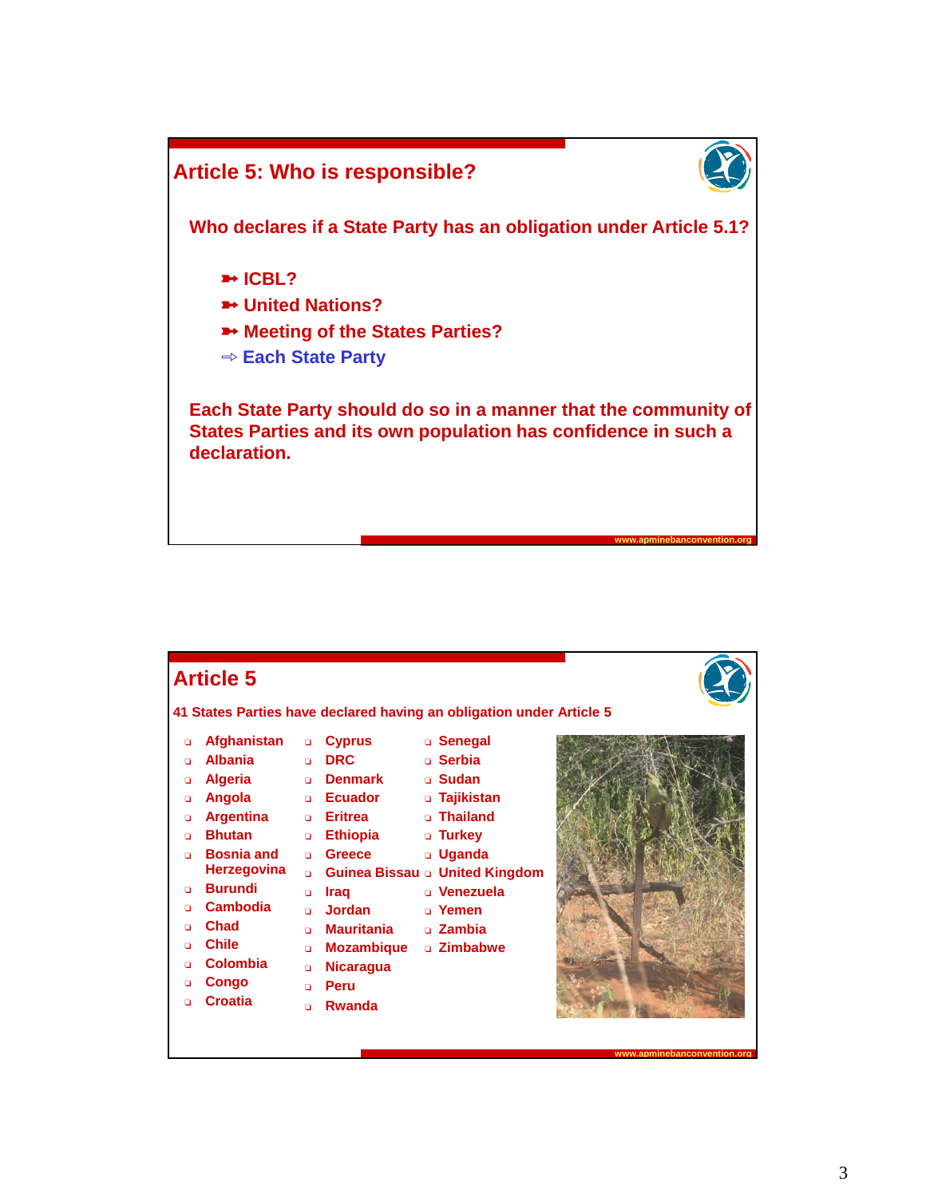

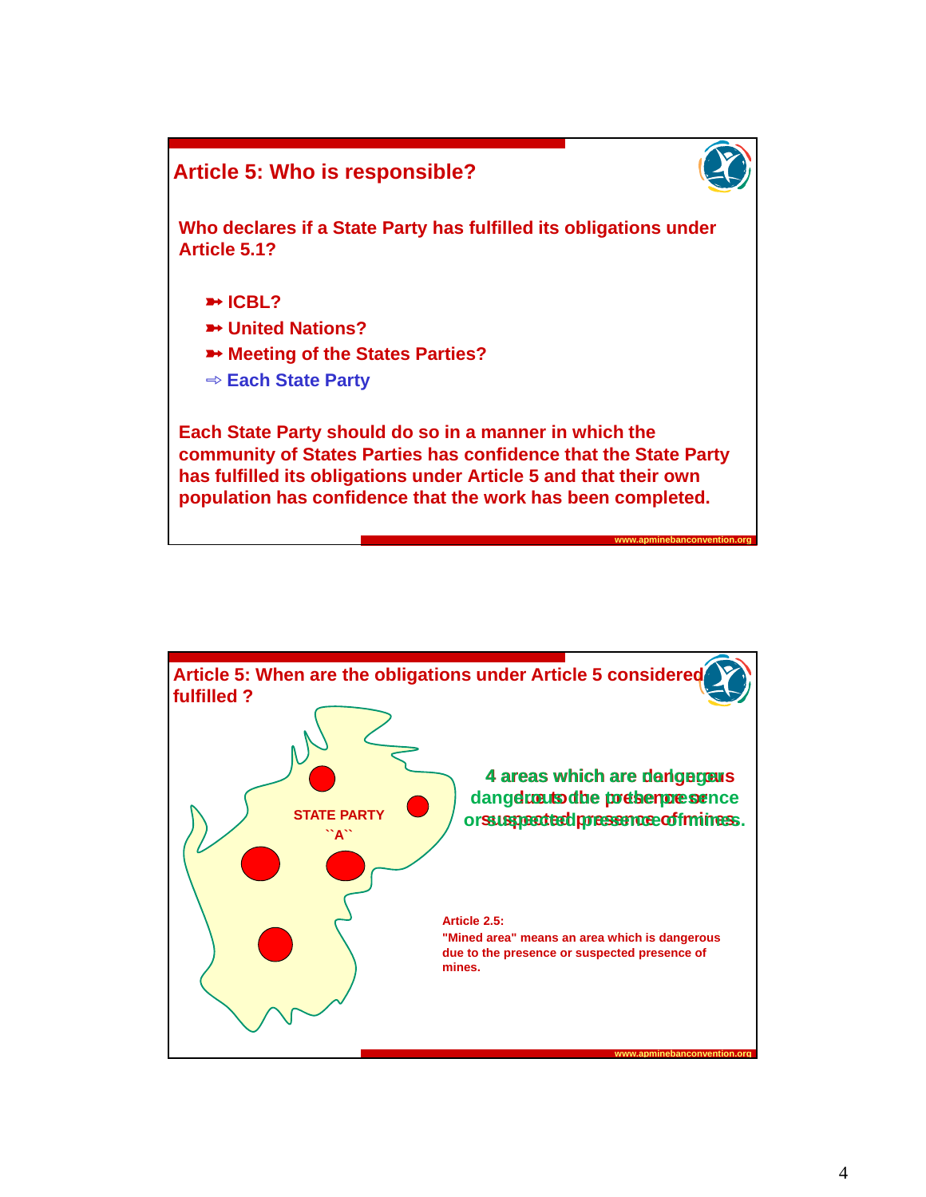

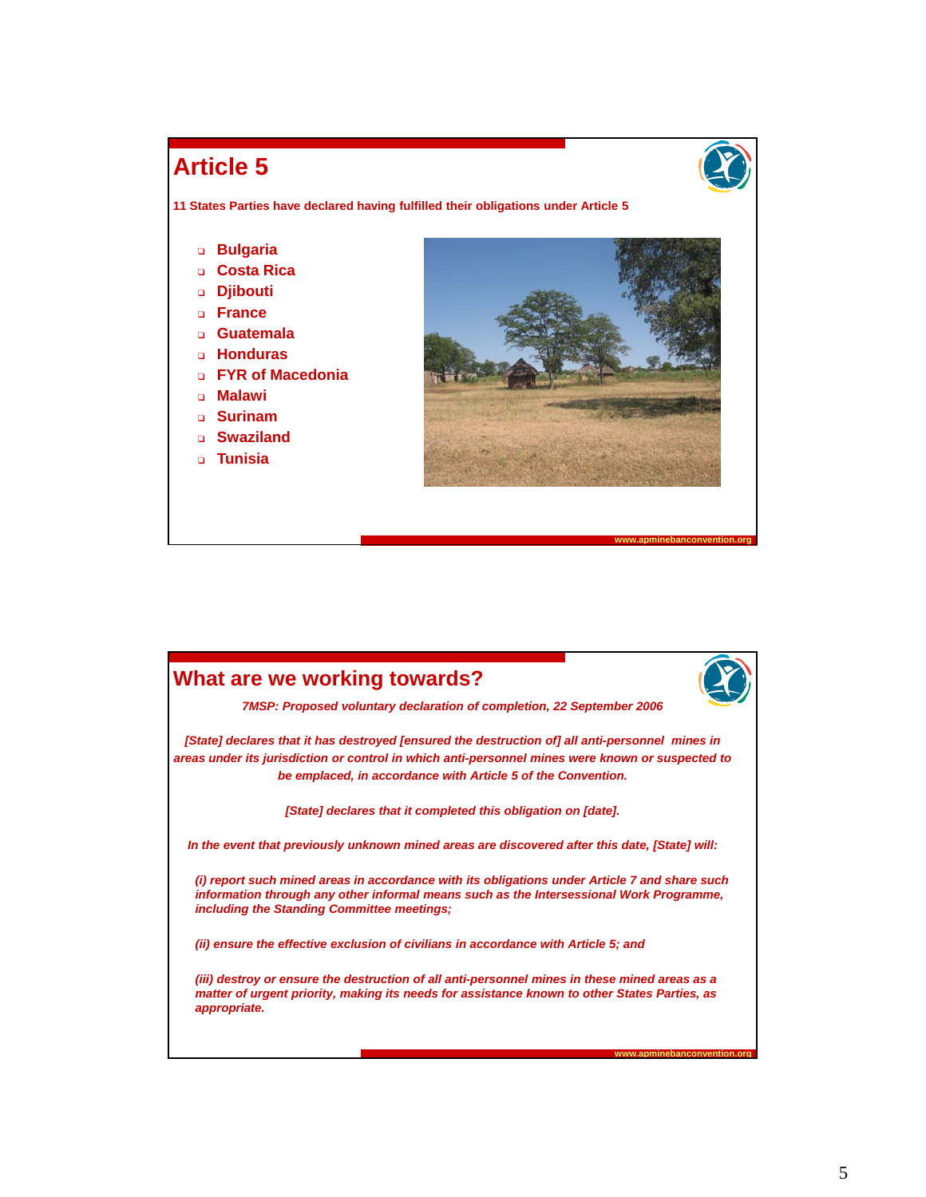## **Article 5**

**www.apminebanconvention.org**

**www.apminebanconvention.org**

**11 States Parties have declared having fulfilled their obligations under Article 5**

- **D** Bulgaria
- <sup>T</sup> **Costa Rica Costa**
- <sup>T</sup> **Djibouti**
- **D France**
- <sup>T</sup> **Guatemala**
- **u Honduras**
- <sup>T</sup> **FYR of Macedonia**
- <sup>T</sup> **Malawi**
- <sup>T</sup> **Surinam**
- <sup>T</sup> **Swaziland**
- **n** Tunisia



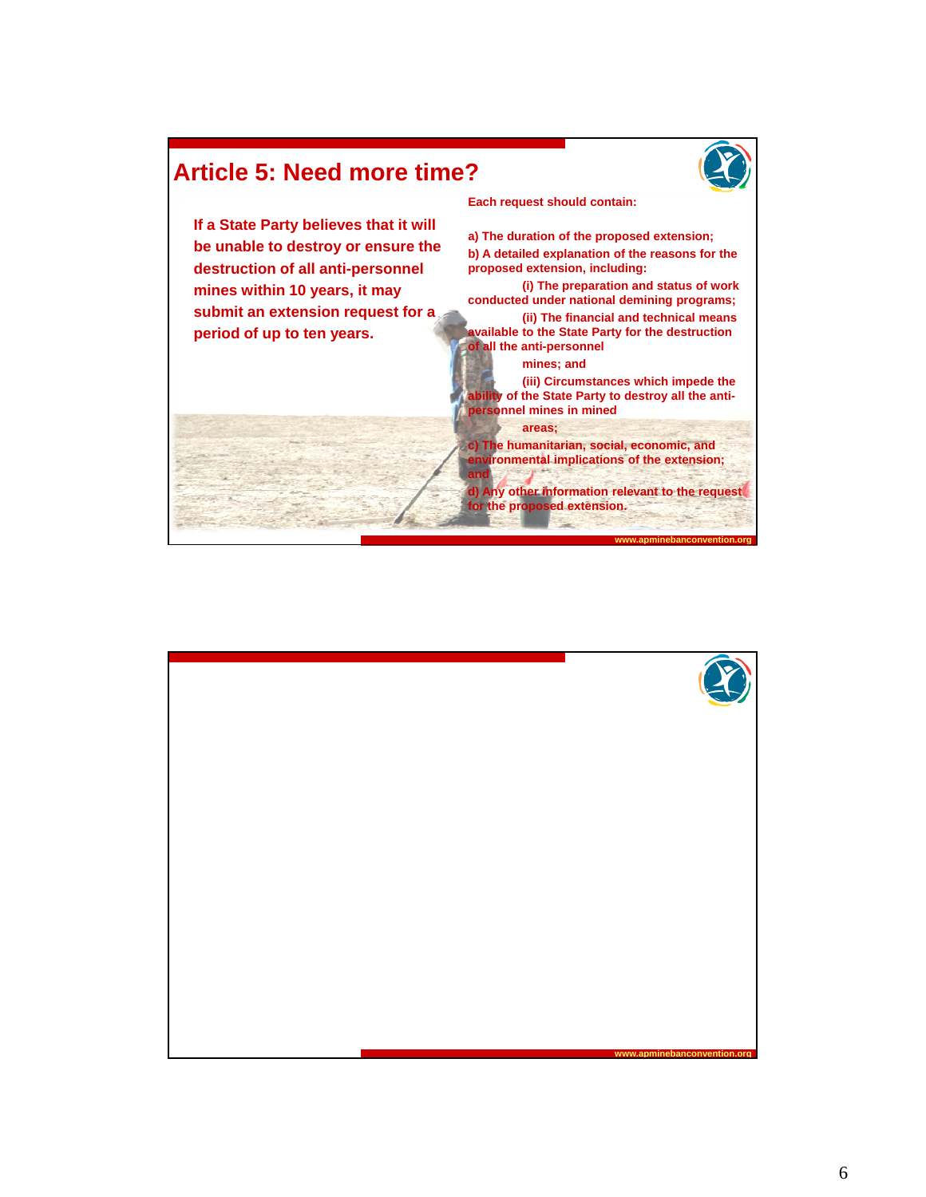

## **Article 5: Need more time?**

**If a State Party believes that it will be unable to destroy or ensure the destruction of all anti-personnel mines within 10 years, it may submit an extension request for a period of up to ten years.**

**Each request should contain:**

**a) The duration of the proposed extension; b) A detailed explanation of the reasons for the**  proposed extension, including: **(i) The preparation and status of work** 

**conducted under national demining programs; (ii) The financial and technical means available to the State Party for the destruction of all the anti-personnel**

**mines; and**

**(iii) Circumstances which impede the ability of the State Party to destroy all the antipersonnel mines in mined personnel mines in**

#### **areas;**

**and**

**c) The humanitarian, social, economic, and environmental implications of the extension;** 

**d) Any other information relevant to the request for the proposed extension.**

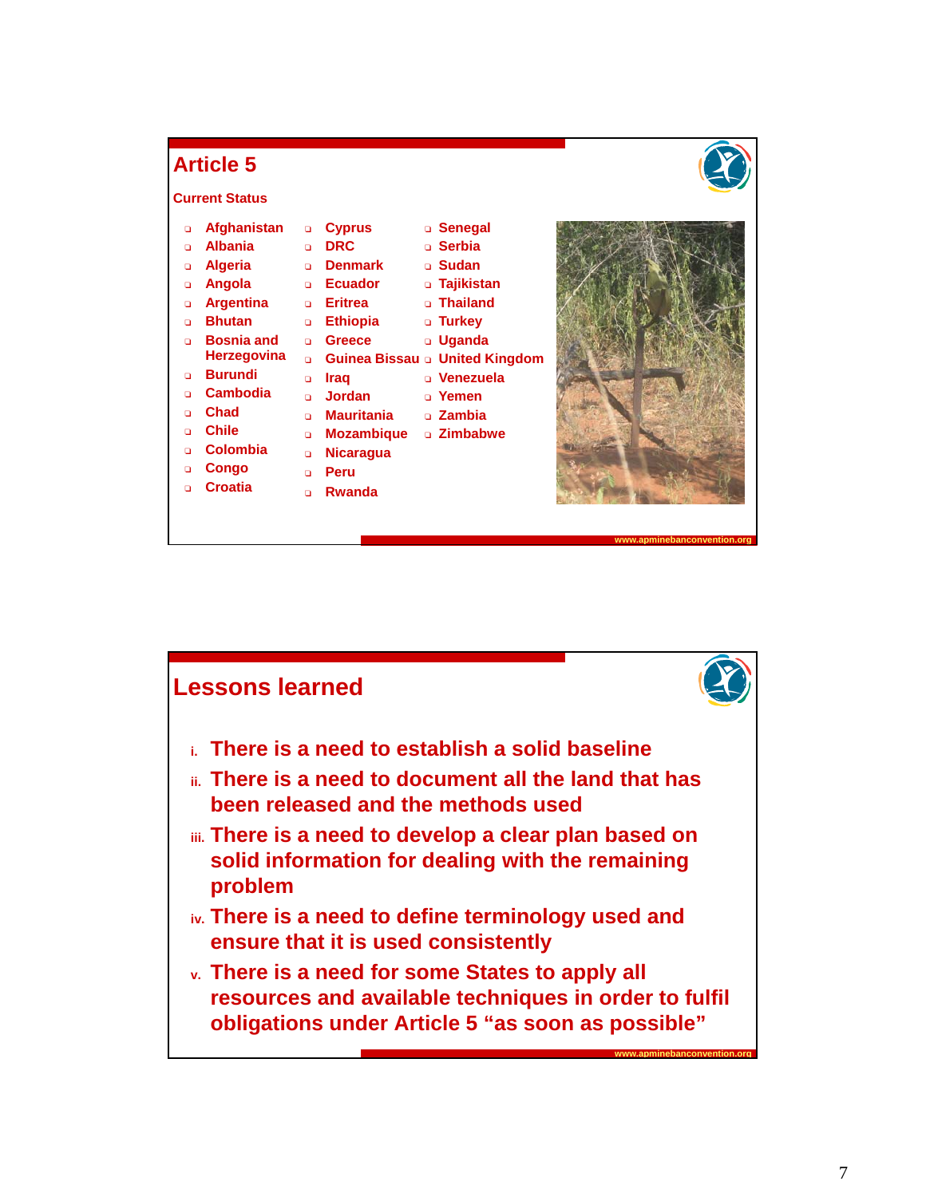

## **Article 5**

#### **Current Status**

| o  | Afghanistan        | $\Box$ | <b>Cyprus</b>     | □ Senegal                      |
|----|--------------------|--------|-------------------|--------------------------------|
| n  | <b>Albania</b>     | n      | <b>DRC</b>        | □ Serbia                       |
| o  | <b>Algeria</b>     | n      | <b>Denmark</b>    | □ Sudan                        |
| o  | Angola             | o      | <b>Ecuador</b>    | □ Tajikistan                   |
| o  | <b>Argentina</b>   | o      | <b>Eritrea</b>    | □ Thailand                     |
| n  | <b>Bhutan</b>      | $\Box$ | <b>Ethiopia</b>   | □ Turkey                       |
| n. | <b>Bosnia and</b>  | $\Box$ | Greece            | □ Uqanda                       |
|    | <b>Herzegovina</b> | $\Box$ |                   | Guinea Bissau a United Kingdom |
| n  | <b>Burundi</b>     | n      | Iraq              | □ Venezuela                    |
| n  | <b>Cambodia</b>    | n      | Jordan            | □ Yemen                        |
| n  | Chad               | n      | Mauritania        | □ Zambia                       |
| n  | <b>Chile</b>       | o      | <b>Mozambique</b> | □ Zimbabwe                     |
| n  | <b>Colombia</b>    | o      | <b>Nicaragua</b>  |                                |
| n  | Congo              | $\Box$ | Peru              |                                |
| n  | Croatia            | n      | Rwanda            |                                |
|    |                    |        |                   |                                |